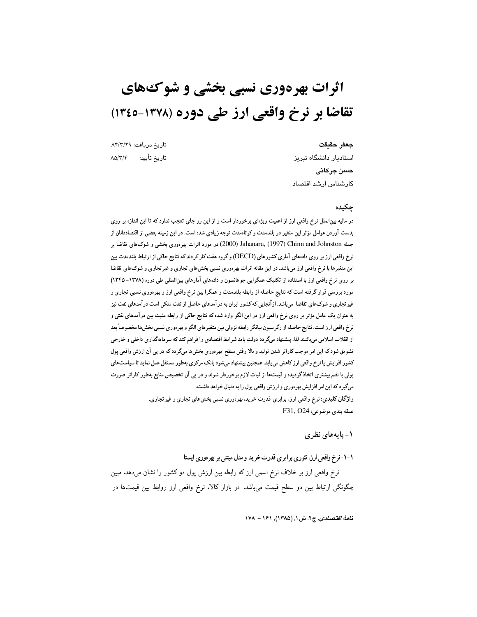# اثرات بهرهوری نسبی بخشی و شو ک های تقاضا بر نرخ واقعی ارز طی دوره (۱۳۷۸-۱۳٤٥)

#### جعفر حقيقت

تاريخ دريافت: ٨۴/٣/٢٩ تاريخ تأييد: ۸۵/۳/۴

استادیار دانشگاه تبریز حسن جركانى كارشناس ارشد اقتصاد

#### چکىدە

در مالیه بینالملل نرخ واقعی ارز از اهمیت ویژمای برخوردار است و از این رو جای تعجب ندارد که تا این اندازه بر روی بدست آوردن عوامل مؤثر این متغیر در بلندمدت و کوتاهمدت توجه زیادی شده است. در این زمینه بعضی از اقتصاددانان از جمله Chinn and Johnston (1997) (2000) Jahanara, (1997) Chinn and Johnston جمله التقاضا بر نرخ واقعی ارز بر روی دادههای آماری کشورهای (OECD) و گروه هفت کار کردند که نتایج حاکی از ارتباط بلندمدت بین این متغیرها با نرخ واقعی ارز میباشد. در این مقاله اثرات بهرهوری نسبی بخشهای تجاری و غیرتجاری و شوکهای تقاضا بر روی نرخ واقعی ارز با استفاده از تکنیک همگرایی جوهانسون و دادههای آمارهای بین|لمللی طی دوره (۱۳۷۸- ۱۳۴۵) مورد بررسی قرار گرفته است که نتایج حاصله از رابطه بلندمدت و همگرا بین نرخ واقعی ارز و بهرهوری نسبی تجاری و غیر تجاری و شوکهای تقاضا میباشد. ازآنجایی که کشور ایران به درآمدهای حاصل از نفت متکی است درآمدهای نفت نیز به عنوان یک عامل مؤثر بر روی نرخ واقعی ارز در این الگو وارد شده که نتایج حاکی از رابطه مثبت بین درآمدهای نفتی و نرخ واقعی ارز است. نتایج حاصله از رگرسیون بیانگر رابطه نزولی بین متغیرهای الگو و بهرهوری نسبی بخشها مخصوصاً بعد از انقلاب اسلامی می باشند لذا، پیشنهاد میگردد دولت باید شرایط اقتصادی را فراهم کند که سرمایهگذاری داخلی و خارجی تشویق شود که این امر موجب کاراتر شدن تولید و بالا رفتن سطح بهرهوری بخشها میگردد که در پی آن ارزش واقعی پول کشور افزایش یا نرخ واقعی ارز کاهش می یابد. همچنین پیشنهاد میشود بانک مرکزی بهطور مستقل عمل نماید تا سیاست های پولی با نظم بیشتری اتخاذ گردیده و قیمتها از ثبات لازم برخوردار شوند و در پی آن تخصیص منابع بهطور کاراتر صورت میگیرد که این امر افزایش بهرهوری و ارزش واقعی پول را به دنبال خواهد داشت. واژگان کلیدی: نرخ واقعی ارز، برابری قدرت خرید، بهرهوری نسبی بخشهای تجاری و غیر تجاری.  $F31, O24;$ طبقه بندي موضوعي:

۱- پایههای نظری

# ۱-۱-نرخ واقعی ارز، تئوری برابری قدرت خرید و مدل مبتنی بر بهر دوری ایستا

نرخ واقعی ارز بر خلاف نرخ اسمی ارز که رابطه بین ارزش پول دو کشور را نشان میدهد. مبین چگونگی ارتباط بین دو سطح قیمت میباشد. در بازار کالا. نرخ واقعی ارز روابط بین قیمتها در

نا*مهٔ اقتصادی,* ج۲. ش ۱, (۱۳۸۵), ۱۶۱ – ۱۷۸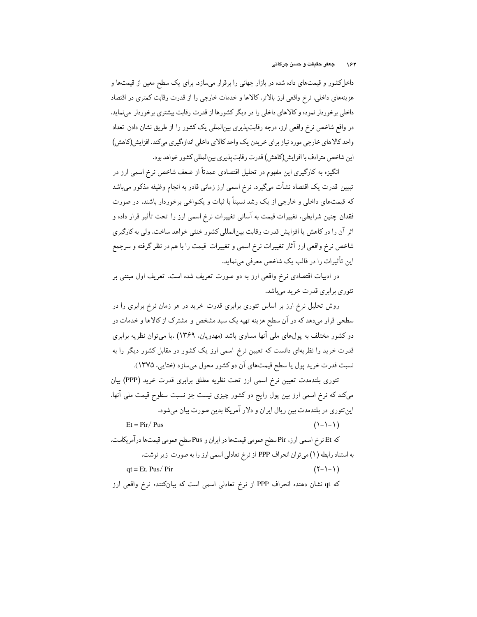داخلکشور و قیمتهای داده شده در بازار جهانی را برقرار میسازد. برای یک سطح معین از قیمتها و هزینههای داخلی، نرخ واقعی ارز بالاتر، کالاها و خدمات خارجی را از قدرت رقابت کمتری در اقتصاد داخلی برخوردار نموده و کالاهای داخلی را در دیگر کشورها از قدرت رقابت بیشتری برخوردار مینماید. در واقع شاخص نرخ واقعی ارز، درجه رقابت پذیری بین|لمللی یک کشور را از طریق نشان دادن تعداد واحد کالاهای خارجی مورد نیاز برای خریدن یک واحد کالای داخلی اندازهگیری میکند. افزایش(کاهش) اين شاخص مترادف با افزايش(كاهش) قدرت رقابتپذيري بينالمللي كشور خواهد بود.

انگیزه به کارگیری این مفهوم در تحلیل اقتصادی عمدتاً از ضعف شاخص نرخ اسمی ارز در تبیین قدرت یک اقتصاد نشأت میگیرد. نرخ اسمی ارز زمانی قادر به انجام وظیفه مذکور میباشد که قیمتهای داخلی و خارجی از یک رشد نسبتاً با ثبات و یکنواخی برخوردار باشند. در صورت فقدان چنین شرایطی، تغییرات قیمت به آسانی تغییرات نرخ اسمی ارز را تحت تأثیر قرار داده و اثر آن را در كاهش يا افزايش قدرت رقابت بين|لمللي كشور خنثى خواهد ساخت. ولي به كارگيري شاخص نرخ واقعی ارز آثار تغییرات نرخ اسمی و تغییرات قیمت را با هم در نظر گرفته و سرجمع این تأثیرات را در قالب یک شاخص معرفی مینماید.

در ادبیات اقتصادی نرخ واقعی ارز به دو صورت تعریف شده است. تعریف اول مبتنی بر تئوري برابري قدرت خريد مىباشد.

روش تحلیل نرخ ارز بر اساس تئوری برابری قدرت خرید در هر زمان نرخ برابری را در سطحی قرار میدهد که در آن سطح هزینه تهیه یک سبد مشخص و مشترک از کالاها و خدمات در دو کشور مختلف به پولهای ملی آنها مساوی باشد (مهدویان، ۱۳۶۹) .یا میتوان نظریه برابری قدرت خرید را نظریهای دانست که تعیین نرخ اسمی ارز یک کشور در مقابل کشور دیگر را به نسبت قدرت خرید پول یا سطح قیمتهای آن دو کشور محول میسازد (ختایی، ۱۳۷۵).

تئوری بلندمدت تعیین نرخ اسمی ارز تحت نظریه مطلق برابری قدرت خرید (PPP) بیان میکند که نرِخ اسمی ارز بین پول رایج دو کشور چیزی نیست جز نسبت سطوح قیمت ملی آنها. این تئوری در بلندمدت بین ریال ایران و دلار آمریکا بدین صورت بیان می شود.

 $Et = Pir / Pus$  $(1 - 1 - 1)$ كه Et نرخ اسمي ارز، Pirسطح عمومي قيمتها در ايران و Pusسطح عمومي قيمتها درآمريكاست. به استناد رابطه (١) مي توان انحراف PPP از نرخ تعادلي اسمي ارز را به صورت زير نوشت.  $at = Et$ . Pus/Pir  $(Y-1-1)$ که qt نشان دهنده انحراف PPP از نرخ تعادلی اسمی است که بیانکننده نرخ واقعی ارز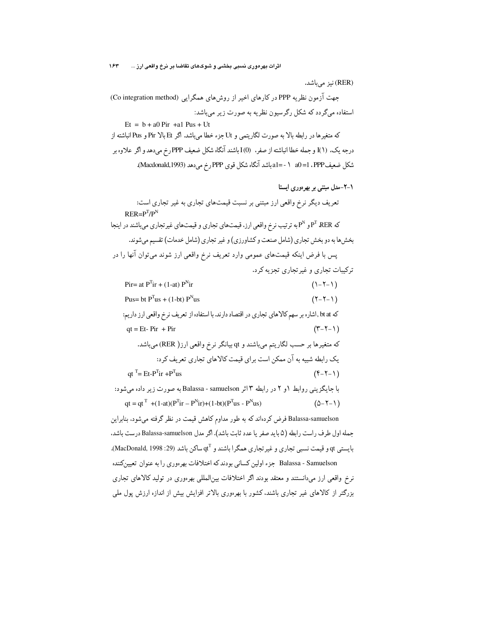(RER) نیز می باشد.

جهت آزمون نظریه PPP در کارهای اخیر از روشهای همگرایی (Co integration method) استفاده میگردد که شکل رگرسیون نظریه به صورت زیر می باشد:

 $Et = b + a0 Pir + a1 Pus + Ut$ كه متغيرها در رابطه بالا به صورت لگاريتمي و Ut جزء خطا مي باشد. اگر Et بالا Pus و Pus انباشته از درجه یک. (۱)I و جمله خطا انباشته از صفر. (0)I باشند آنگاه شکل ضعیف PPP رِخ میدهد و اگر علاوه بر .<br>شکل ضعیفPPP، 1= 0 1 - -1a باشد آنگاه شکل قوی PPP رخ میدهد (Macdonald,1993).

١-٢-مدل مبتنی بر بھر دوری ایستا تعریف دیگر نرخ واقعی ارز مبتنی بر نسبت قیمتهای تجاری به غیر تجاری است:  $RER = P^{T}/P^{N}$ که P<sup>r</sup> RER و P<sup>N</sup>به ترتیب نرخ واقعی ارز. قیمتهای تجاری و قیمتهای غیرتجاری میباشند در اینجا بخشها به دو بخش تجاري (شامل صنعت و كشاورزي) و غير تجاري (شامل خدمات) تقسيم مي شوند. پس با فرض اینکه قیمتهای عمومی وارد تعریف نرخ واقعی ارز شوند میتوان آنها را در

ترکیبات تجاری و غیر تجاری تجزیه کرد.

Pir= at  $P^{T}$ ir + (1-at)  $P^{N}$ ir  $(1 - 5 - 1)$ Pus= bt  $P^{T}$ us + (1-bt)  $P^{N}$ us  $(Y - Y - Y)$ كه bt at ,اشاره بر سهم كالاهاي تجاري در اقتصاد دارند. با استفاده از تعريف نرخ واقعي ارز داريم:  $qt = Et - Pir + Pir$  $(\tau-\tau-\tau)$ كه متغيرها بر حسب لگاريتم ميباشند و qt بيانگر نرخ واقعي ارز( RER) ميباشد. یک رابطه شبیه به آن ممکن است برای قیمت کالاهای تجاری تعریف کرد:  $qt^T = Et-P^{T}ir + P^{T}us$  $(f - 7 - 1)$ با جايگزيني روابط ١و ٢ در رابطه ٣ اثر Balassa - samuelson به صورت زير داده مي شود: qt = qt<sup>T</sup> +(1-at)( $P^{T}$ ir –  $P^{N}$ ir)+(1-bt)( $P^{T}$ us -  $P^{N}$ us)  $(\Delta-\Upsilon-\Upsilon)$ Balassa-samuelson فرض کردهاند که به طور مداوم کاهش قیمت در نظر گرفته میشود، بنابراین جمله اول طرف راست رابطه (۵ باید صفر یا عدد ثابت باشد). اگر مدل Balassa-samuelson درست باشد.  $MacDonald, 1998:29)$ بايستي  $q$ و قيمت نسبي تجاري و غير تجاري همگرا باشند و  $q^T$ ساكن باشد (29: 1998, 1998). Balassa - Samuelson جزء اولین کسانی بودند که اختلافات بهرهوری را به عنوان تعیینکننده نرخ واقعی ارز میدانستند و معتقد بودند اگر اختلافات بینالمللی بهرهوری در تولید کالاهای تجاری بزرگتر از کالاهای غیر تجاری باشند.کشور با بهرهوری بالاتر افزایش بیش از اندازه ارزش پول ملی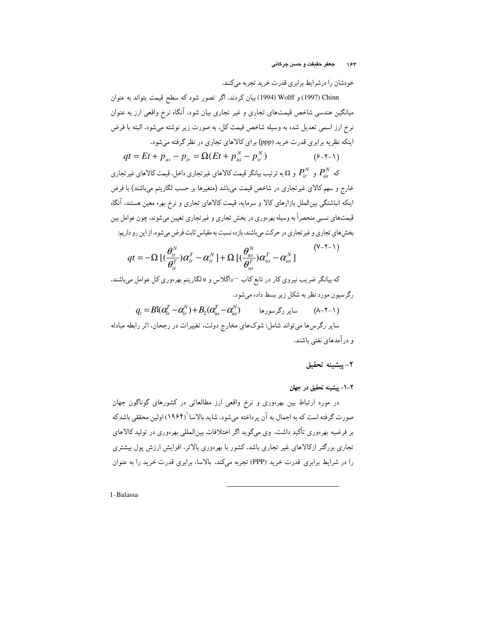خودشان را درشرايط برابري قدرت خريد تجربه مى كنند.

Chinn (1997) و Wolff (1994) بیان کردند. اگر تصور شود که سطح قیمت بتواند به عنوان میانگین هندسی شاخص قیمتهای تجاری و غیر تجاری بیان شود. آنگاه نرخ واقعی ارز به عنوان نرخ ارز اسمی تعدیل شده به وسیله شاخص قیمت کل، به صورت زیر نوشته میشود. البته با فرض اینکه نظریه برابری قدرت خرید (ppp) برای کالاهای تجاری در نظر گرفته میشود.

$$
qt = Et + p_{us} - p_{ir} = \Omega(Et + p_{us}^N - p_{ir}^N)
$$
 (8-1-1)

که  $P_{ir}^N$  و  $P_{ir}^N$  و  $\Omega$ به ترتیب بیانگر قیمت کالاهای غیرتجاری داخل. قیمت کالاهای غیرتجاری خارج و سهم کالای غیرتجاری در شاخص قیمت میباشد (متغیرها بر حسب لگاریتم میباشند) با فرض اینکه انباشتگی بین|لملل بازارهای کالا و سرمایه. قیمت کالاهای تجاری و نرخ بهره معین هستند. آنگاه قیمتهای نسبی منحصراً به وسیله بهرهوری در بخش تجاری و غیرتجاری تعیین میشوند. چون عوامل بین بخش های تجاری و غیرتجاری در حرکت میباشند، بازده نسبت به مقیاس ثابت فرض میشود. از این رو داریم:

$$
qt = -\Omega \left[ \left( \frac{\theta_{ir}^{N}}{\theta_{ir}^{T}} \right) \alpha_{ir}^{T} - \alpha_{ir}^{N} \right] + \Omega \left[ \left( \frac{\theta_{us}^{N}}{\theta_{us}^{T}} \right) \alpha_{us}^{T} - \alpha_{us}^{N} \right]
$$
\n<sup>(Y-Y-1)</sup>

که بیانگر ضریب نیروی کار در تابع کاب <sup>—</sup>داگلاس و α لگاریتم بهر<sub>'</sub>وری کل عوامل میباشند. رگرسیون مورد نظر به شکل زیر بسط داده میشود.

 $q_e = Bl(\alpha_e^T - \alpha_e^N) + B_2(\alpha_e^T - \alpha_e^N)$  ساد گرسورها (۸–۲–۱)

سایر رگرس ها میتواند شامل: شوکهای مخارج دولت، تغییرات در رجحان، اثر رابطه مبادله و در آمدهای نفتی باشند.

٢- يبشينه تحقيق

۲-۱- پیشینه تحقیق در جهان

در مورد ارتباط بین بهرهوری و نرخ واقعی ارز مطالعاتی در کشورهای گوناگون جهان صورت گرفته است که به اجمال به آن پرداخته میشود. شاید بالاسا (۱۹۶۴) اولین محققی باشد که بر فرضیه بهرهوری تأکید داشت. وی میگوید اگر اختلافات بین|لمللی بهرهوری در تولید کالاهای تجاری بزرگتر ازکالاهای غیر تجاری باشد، کشور با بهرهوری بالاتر، افزایش ارزش پول بیشتری را در شرایط برابری قدرت خرید (PPP) تجربه میکند. بالاسا، برابری قدرت خرید را به عنوان

1-Balassa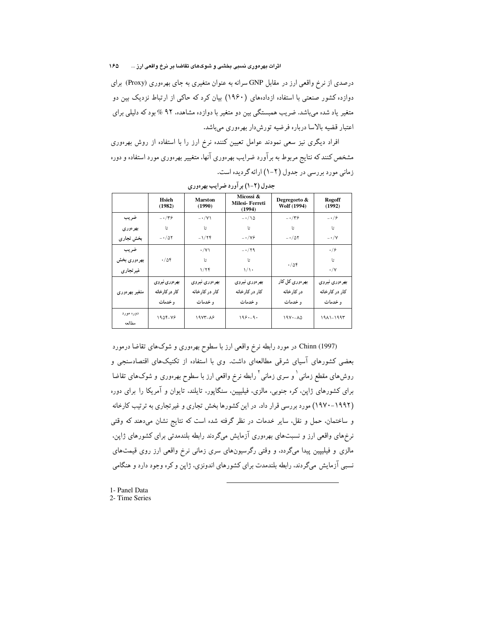درصدی از نرخ واقعی ارز در مقابل GNP سرانه به عنوان متغیری به جای بهرهوری (Proxy) برای دوازده کشور صنعتی با استفاده ازدادههای (۱۹۶۰) بیان کرد که حاکی از ارتباط نزدیک بین دو متغیر یاد شده میباشد. ضریب همبستگی بین دو متغیر با دوازده مشاهده، ۹۲ % بود که دلیلی برای اعتبار قضیه بالاسا درباره فرضیه تورش دار بهرهوری میباشد.

افراد دیگری نیز سعی نمودند عوامل تعیین کننده نرخ ارز را با استفاده از روش بهرهوری مشخص کنند که نتایج مربوط به برآورد ضرایب بهر.وری آنها، متغییر بهر.وری مورد استفاد. و دور. زمانی مورد بررسی در جدول (۲-۱) ارائه گردیده است.

|                     | Hsieh<br>(1982) | <b>Marston</b><br>(1990) | Micossi &<br>Milesi-Ferreti<br>(1994) | Degregorto &<br>Wolf (1994) | <b>Rogoff</b><br>(1992) |
|---------------------|-----------------|--------------------------|---------------------------------------|-----------------------------|-------------------------|
| ضريب                | $-\cdot/\tau$ ۶ | $-\cdot/\gamma$          | $-\cdot/\sqrt{2}$                     | $-\cdot/\tau$ ۶             | $-\cdot$ /۶             |
| بهرەورى             | Ŀ               | تا                       | Ŀ                                     | Ŀ                           | تا                      |
| بخش تجاري           | $-1/\Delta Y$   | $-1/7f$                  | $-\cdot/\gamma$ ۶                     | $- \cdot / \Delta Y$        | $-\cdot/\gamma$         |
| ضريب                |                 | $\cdot$ /Y)              | $- \cdot / \gamma$ ۹                  |                             | $\cdot$ /۶              |
| بهر ەورى بخش        | ۰/۵۴            | Ŀ                        | Ŀ                                     | $\cdot/\Delta f$            | Ŀ                       |
| غیر تجاری           |                 | 1/77                     | 1/1                                   |                             | $\cdot/\gamma$          |
|                     | بهر دوري نيروي  | بهر ەورى نيروي           | بهر ەورى نيروي                        | بھر دوری کل کار             | بهر ەورى نيروي          |
| متغیر بھر ہوری      | کار در کارخانه  | کار در کارخانه           | کار در کارخانه                        | در کارخانه                  | کار در کارخانه          |
|                     | و خدمات         | و خدمات                  | و خدمات                               | و خدمات                     | و خدمات                 |
| دوره مورد<br>مطالعه | 1904-78         | <b>1977-18</b>           | $199 - 9.$                            | $19V - \Lambda \Delta$      | ۱۹۸۱-۱۹۹۳               |

جدول (۲-۱) بر آورد ضرایب بهر دوری

Chinn (1997) در مورد رابطه نرخ واقعی ارز با سطوح بهرهوری و شوکهای تقاضا درمورد بعضی کشورهای آسیای شرقی مطالعهای داشت. وی با استفاده از تکنیکهای اقتصادسنجی و روشهای مقطع زمانی <sup>۱</sup> و سری زمانی <sup>۲</sup> رابطه نرخ واقعی ارز با سطوح بهر<sub>°</sub>وری و شوکهای تقاضا برای کشورهای ژاین، کره جنوبی، مالزی، فیلیپین، سنگاپور، تایلند، تایوان و آمریکا را برای دوره (۱۹۹۲–۱۹۷۰) مورد بررسی قرار داد. در این کشورها بخش تجاری و غیرتجاری به ترتیب کارخانه و ساختمان، حمل و نقل، سایر خدمات در نظر گرفته شده است که نتایج نشان میدهند که وقتی نرخهای واقعی ارز و نسبتهای بهرهوری آزمایش میگردند رابطه بلندمدتی برای کشورهای ژاپن. مالزی و فیلیپین پیدا میگردد. و وقتی رگرسیونهای سری زمانی نرخ واقعی ارز روی قیمتهای نسبی آزمایش میگردند، رابطه بلندمدت برای کشورهای اندونزی، ژاپن و کره وجود دارد و هنگامی

- 1- Panel Data
- 2- Time Series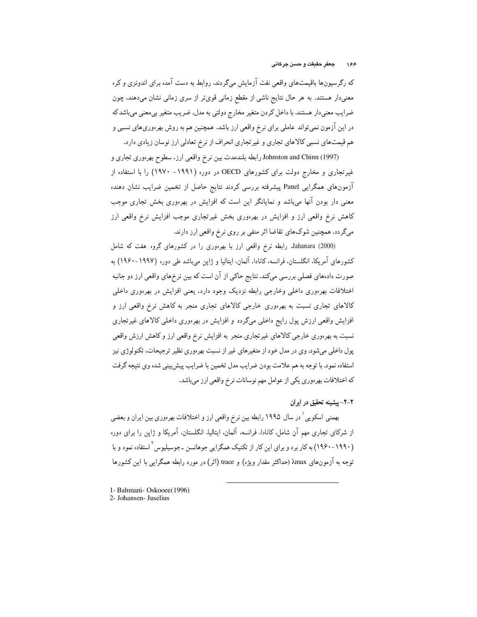که رگرسیونها باقیمتهای واقعی نفت آزمایش میگردند. روابط به دست آمده برای اندونزی و کره معنیدار هستند. به هر حال نتایج ناشی از مقطع زمانی قویتر از سری زمانی نشان میدهند، چون ضرایب معنیدار هستند. با داخل کردن متغیر مخارج دولتی به مدل، ضریب متغیر بیمعنی میباشد که در این آزمون نمیتواند عاملی برای نرخ واقعی ارز باشد. همچنین هم به روش بهرهوریهای نسبی و هم قیمتهای نسبی کالاهای تجاری و غیرتجاری انحراف از نرخ تعادلی ارز نوسان زیادی دارد.

Johnston and Chinn (1997) رابطه بلندمدت بین نرخ واقعی ارز، سطوح بهرهوری تجاری و غیرتجاری و مخارج دولت برای کشورهای OECD در دوره (۱۹۹۱– ۱۹۷۰) را با استفاده از آزمونهای همگرایی Panel پیشرفته بررسی کردند نتایج حاصل از تخمین ضرایب نشان دهنده معنی دار بودن آنها میباشد و نمایانگر این است که افزایش در بهرهوری بخش تجاری موجب کاهش نرخ واقعی ارز و افزایش در بهرهوری بخش غیرتجاری موجب افزایش نرخ واقعی ارز میگردد. همچنین شوکهای تقاضا اثر منفی بر روی نرخ واقعی ارز دارند.

Jahanara (2000) رابطه نرخ واقعی ارز با بهرهوری را در کشورهای گروه هفت که شامل کشورهای آمریکا، انگلستان، فرانسه، کانادا، آلمان، ایتالیا و ژاین میباشد طی دوره (۱۹۹۷–۱۹۶۰) به صورت دادههای فصلی بررسی میکند. نتایج حاکی از آن است که بین نرخهای واقعی ارز دو جانبه اختلافات بهرءوری داخلی وخارجی رابطه نزدیک وجود دارد. یعنی افزایش در بهرءوری داخلی کالاهای تجاری نسبت به بهرهوری خارجی کالاهای تجاری منجر به کاهش نرخ واقعی ارز و افزایش واقعی ارزش پول رایج داخلی میگردد و افزایش در بهرهوری داخلی کالاهای غیرتجاری نسبت به بهرهوری خارجی کالاهای غیرتجاری منجر به افزایش نرخ واقعی ارز و کاهش ارزش واقعی پول داخلی میشود. وی در مدل خود از متغیرهای غیر از نسبت بهرهوری نظیر ترجیحات، تکنولوژی نیز استفاده نمود. با توجه به هم علامت بودن ضرايب مدل تخمين با ضرايب پيش بيني شده وي نتيجه گرفت که اختلافات بهرهوري يکي از عوامل مهم نوسانات نرخ واقعي ارز ميباشد.

۲-۲- پیشینه تحقیق در ایران

بهمنی اسکویی ٔ در سال ۱۹۹۵ رابطه بین نرخ واقعی ارز و اختلافات بهرهوری بین ایران و بعضی از شرکای تجاری مهم آن شامل، کانادا، فرانسه، آلمان، ایتالیا، انگلستان، آمریکا و ژاپن را برای دوره (۱۹۹۰-۱۹۶۰) به کار برد و برای این کار از تکنیک همگرایی جوهانسن ـ جوسیلیوس <sup>۲</sup> استفاده نمود و با توجه به آزمونهای xmax (حداکثر مقدار ویژه) و trace (اثر) در مورد رابطه همگرایی با این کشورها

1- Bahmani- Oskooee(1996)

<sup>2-</sup> Johansen- Juselius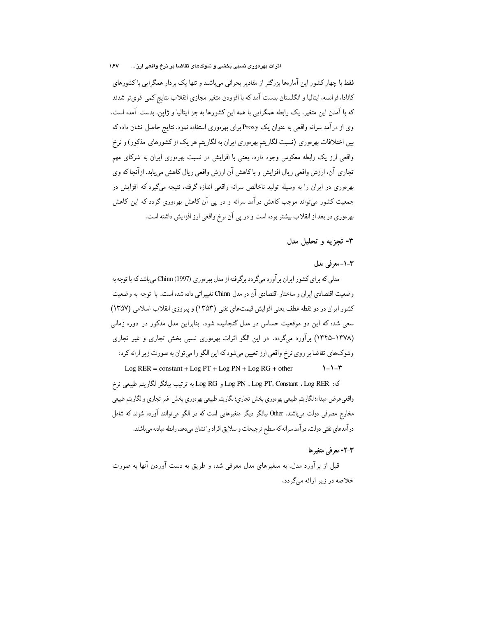فقط با چهار کشور این آمارهها بزرگتر از مقادیر بحرانی میباشند و تنها یک بردار همگرایی با کشورهای كانادا، فرانسه، ايتاليا و انگلستان بدست آمد كه با افزودن متغير مجازي انقلاب نتايج كمي قويتر شدند که با آمدن این متغیر، یک رابطه همگرایی با همه این کشورها به جز ایتالیا و ژاین، بدست آمده است. وی از درآمد سرانه واقعی به عنوان یک Proxy برای بهرهوری استفاده نمود. نتایج حاصل نشان داده که بین اختلافات بهرهوری (نسبت لگاریتم بهرهوری ایران به لگاریتم هر یک از کشورهای مذکور) و نرخ واقعی ارز یک رابطه معکوس وجود دارد. یعنی با افزایش در نسبت بهرهوری ایران به شرکای مهم تجاری آن، ارزش واقعی ریال افزایش و باکاهش آن ارزش واقعی ریال کاهش میپابد. ازآنجاکه وی بهر.وری در ایران را به وسیله تولید ناخالص سرانه واقعی اندازه گرفته، نتیجه میگیرد که افزایش در جمعیت کشور میتواند موجب کاهش درآمد سرانه و در پی آن کاهش بهرهوری گردد که این کاهش بهرهوري در بعد از انقلاب بيشتر بوده است و در پي آن نرخ واقعي ارز افزايش داشته است.

۳- تجزیه و تحلیل مدل

# ٣-١- معرفي مدل

مدلی که برای کشور ایران بر آورد میگردد برگرفته از مدل بهرهوری (Chinn (1997 میباشد که با توجه به وضعیت اقتصادی ایران و ساختار اقتصادی آن در مدل Chinn تغییراتی داده شده است. با توجه به وضعیت كشور ايران در دو نقطه عطف يعني افزايش قيمتهاي نفتي (١٣٥٣) و پيروزي انقلاب اسلامي (١٣٥٧) سعی شده که این دو موقعیت حساس در مدل گنجانیده شود. بنابراین مدل مذکور در دوره زمانی (۱۳۷۸–۱۳۴۵) برآورد میگردد. در این الگو اثرات بهرهوری نسبی بخش تجاری و غیر تجاری وشوکهای تقاضا بر روی نرخ واقعی ارز تعیین میشود که این الگو را میتوان به صورت زیر ارائه کرد: Log  $RER = \text{constant} + \text{Log PT} + \text{Log PN} + \text{Log RG} + \text{other}$  $1 - 1 - 1$ 

كه: Log PT، Constant ، Log RER و Log RG به ترتيب بيانكر لگاريتم طبيعي نرخ واقعىءرض مبداء؛ لگاريتم طبيعي بهرهوري بخش تجاري؛ لگاريتم طبيعي بهرهوري بخش غير تجاري و لگاريتم طبيعي مخارج مصرفی دولت میباشند. Other بیانگر دیگر متغیرهایی است که در الگو میتوانند آورده شوند که شامل درآمدهای نفتی دولت، درآمد سرانه که سطح ترجیحات و سلایق افراد را نشان میدهد، رابطه مبادله میباشند.

## ٣-٢- معرفي متغيرها

قبل از برآورد مدل، به متغیرهای مدل معرفی شده و طریق به دست آوردن آنها به صورت خلاصه در زیر ارائه میگردد،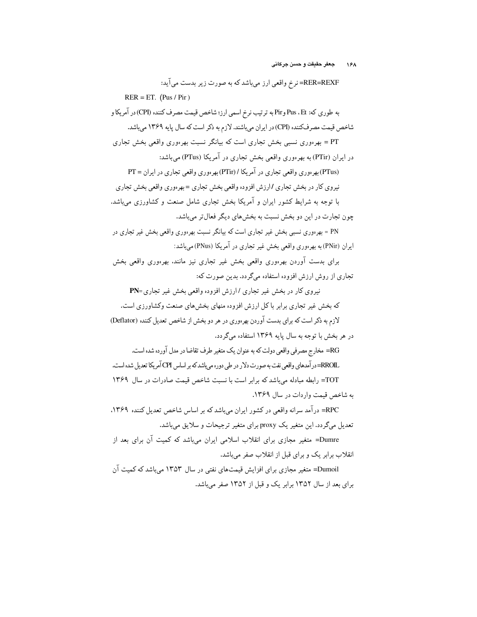RER=REXF= نرخ واقعی ارز میباشد که به صورت زیر بدست می آید:  $RER = ET. (Pus / Pir)$ به طوري كه: Pus ، Et وPir به ترتيب نرخ اسمي ارز؛ شاخص قيمت مصرف كننده (CPI)در آمريكا و شاخص قیمت مصرفکننده (CPI) در ایران میباشند. لازم به ذکر است که سال پایه ۱۳۶۹ میباشد. PT = بھرەورى نسببى بخش تجارى است كە بيانگر نسبت بھرەورى واقعى بخش تجارى در ایران (PTir) به بهرهوری واقعی بخش تجاری در آمریکا (PTus) میباشد: (PTus) بھر موری واقعی تجاری در آمریکا / (PTir) بھر موری واقعی تجاری در ایران = PT نیروی کار در بخش تجاری /ارزش افزوده واقعی بخش تجاری =بهرهوری واقعی بخش تجاری با توجه به شرایط کشور ایران و آمریکا بخش تجاری شامل صنعت و کشاورزی میباشد. چون تجارت در این دو بخش نسبت به بخشهای دیگر فعالتر میباشد. PN = بهرهوری نسببی بخش غیر تجاری است که بیانگر نسبت بهرهوری واقعی بخش غیر تجاری در ایران (PNir) به بهرهوری واقعی بخش غیر تجاری در آمریکا (PNus) می باشد: برای بدست آوردن بهرهوری واقعی بخش غیر تجاری نیز مانند. بهرهوری واقعی بخش تجاری از روش ارزش افزوده استفاده میگردد. بدین صورت که: نیروی کار در بخش غیر تجاری / ارزش افزوده واقعی بخش غیر تجاری=PN که بخش غیر تجاری برابر باکل ارزش افزوده منهای بخش های صنعت وکشاورزی است. لازم به ذکر است که برای بدست آوردن بهرهوری در هر دو بخش از شاخص تعدیل کننده (Deflator) در هر بخش با توجه به سال پایه ۱۳۶۹ استفاده میگردد. RG= مخارج مصرفي واقعي دولت كه به عنوان يك متغير طرف تقاضا در مدل آورده شده است. \_RROI =در آمدهای واقعی نفت به صورت دلار در طی دوره می پاشد که بر اساس CPI آمریکا تعدیل شده است. TOT= رابطه مبادله می باشد که برابر است با نسبت شاخص قیمت صادرات در سال ۱۳۶۹ به شاخص قیمت واردات در سال ۱۳۶۹. RPC= در آمد سرانه واقعی در کشور ایران میباشد که بر اساس شاخص تعدیل کننده ۱۳۶۹. تعدیل میگردد. این متغیر یک proxy برای متغیر ترجیحات و سلایق میباشد. Dumre= متغیر مجازی برای انقلاب اسلامی ایران می،باشد که کمیت آن برای بعد از انقلاب برابر یک و برای قبل از انقلاب صفر می باشد. Dumoil= متغیر مجازی برای افزایش قیمتهای نفتی در سال ۱۳۵۳ میباشد که کمیت آن برای بعد از سال ۱۳۵۲ برابر یک و قبل از ۱۳۵۲ صفر میباشد.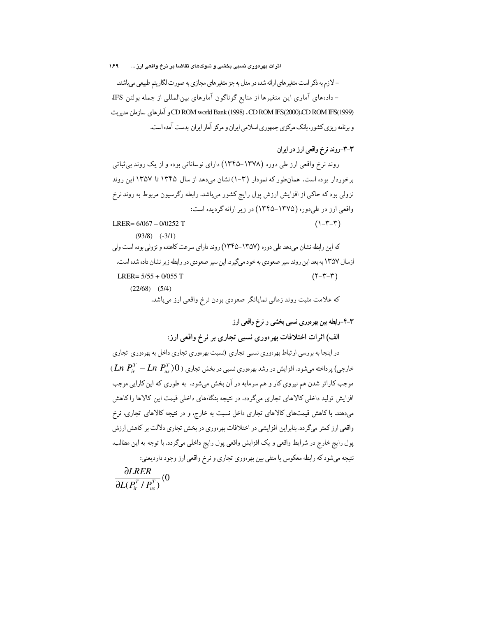اثرات بهرەورى نسبى بخشى و شوكهاى تقاضا بر نرخ واقعى ارز ... 189

- لازم به ذکر است متغیرهای ارائه شده در مدل به جز متغیرهای مجازی به صورت لگاریتم طبیعی میباشند. - دادههای آماری این متغیرها از منابع گوناگون آمارهای بین|لمللی از جمله بولتن IFS CD ROM world Bank (1998) ، CD ROM IFS(2000)،CD ROM IFS(1999) و آمارهای سازمان مدیریت و برنامه ریزی کشور، بانک مرکزی جمهوری اسلامی ایران و مرکز آمار ایران بدست آمده است.

## ٣-٣-روند نرخ واقعي ارز در ايران

روند نرخ واقعی ارز طی دوره (۱۳۷۸–۱۳۴۵) دارای نوساناتی بوده و از یک روند بی ثباتی برخوردار بوده است. همان طور كه نمودار (٣-١) نشان مى دهد از سال ١٣۴۵ تا ١٣٥٧ اين روند نزولی بود که حاکی از افزایش ارزش پول رایج کشور میباشد. رابطه رگرسیون مربوط به روند نرخ واقعی ارز در طی دوره (۱۳۷۵–۱۳۴۵) در زیر ارائه گردیده است:  $(1-\tau-\tau)$ LRER= $6/067 - 0/0252$  T  $(93/8)$   $(-3/1)$ 

که این رابطه نشان می دهد طی دوره (۱۳۵۷–۱۳۴۵) روند دارای سرعت کاهنده و نزولی بوده است ولی ازسال ۱۳۵۷ به بعد این روند سیر صعودی به خود میگیرد. این سیر صعودی در رابطه زیر نشان داده شده است. LRER=  $5/55 + 0/055$  T  $(Y - Y - Y)$  $(22/68)$   $(5/4)$ که علامت مثبت روند زماني نمايانگر صعودي بودن نرخ واقعي ارز ميباشد.

٣-۴-رابطه بين بهرهوري نسبي بخشي و نرخ واقعي ارز

الف) اثرات اختلافات بهرهوري نسبي تجاري بر نرخ واقعي ارز:

در اینجا به بررسی ارتباط بهرهوری نسبی تجاری (نسبت بهرهوری تجاری داخل به بهرهوری تجاری  $(Ln\ P_{ir}^{T}-Ln\ P_{ns}^{T})0$ ) داخته می شود. افزایش در رشد بهرهوری نسبی در بخش تجاری (  $(Ln\ P_{ir}^{T}-Ln\ P_{ns}^{T})0$ موجب کاراتر شدن هم نیروی کار و هم سرمایه در آن بخش میشود، به طوری که این کارایی موجب افزایش تولید داخلی کالاهای تجاری میگردد. در نتیجه بنگاههای داخلی قیمت این کالاها راکاهش میدهند. با کاهش قیمتهای کالاهای تجاری داخل نسبت به خارج، و در نتیجه کالاهای تجاری، نرخ واقعی ارز کمتر میگردد. بنابراین افزایشی در اختلافات بهرهوری در بخش تجاری دلالت بر کاهش ارزش پول رايج خارج در شرايط واقعي و يک افزايش واقعي پول رايج داخلي ميگردد. با توجه به اين مطالب. نتیجه می شود که رابطه معکوس یا منفی بین بهرهوری تجاری و نرخ واقعی ارز وجود داردیعنی:  $\frac{\partial L R E R}{\partial L (P^T/P^T)}$  (0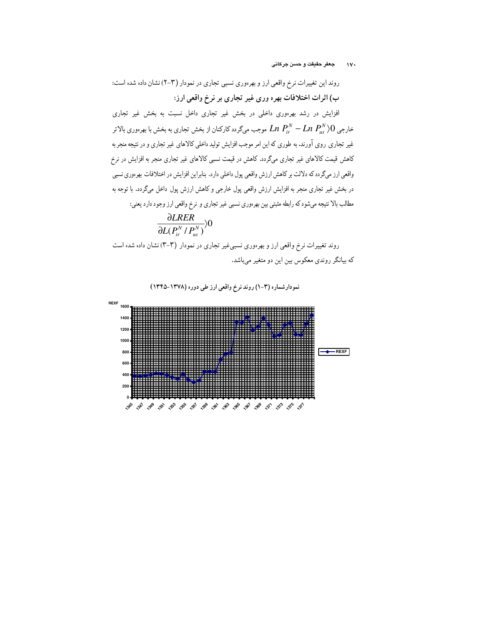روند این تغییرات نرخ واقعی ارز و بهرهوری نسبی تجاری در نمودار (۲–۲) نشان داده شده است: ب) اثرات اختلافات بهره وري غير تجاري بر نرخ واقعي ارز:

افزایش در رشد بهرهوری داخلی در بخش غیر تجاری داخل نسبت به بخش غیر تجاری خارجی  $Ln$   $P_{ir}^{N}-Ln$   $P_{ir}^{N}-Ln$  موجب میگردد کارکنان از بخش تجاری به بخش با بهرهوری بالاتر غیر تجاری روی آورند، به طوری که این امر موجب افزایش تولید داخلی کالاهای غیر تجاری و در نتیجه منجر به کاهش قیمت کالاهای غیر تجاری میگردد. کاهش در قیمت نسبی کالاهای غیر تجاری منجر به افزایش در نرخ واقعی ارز میگردد که دلالت بر کاهش ارزش واقعی پول داخلی دارد. بنابراین افزایش در اختلافات بهر ووری نسبی در بخش غیر تجاری منجر به افزایش ارزش واقعی پول خارجی و کاهش ارزش پول داخل میگردد. با توجه به مطالب بالا نتیجه میشود که رابطه مثبتی بین بهرهوری نسبی غیر تجاری و نرخ واقعی ارز وجود دارد یعنی:

$$
\frac{\partial LRER}{\partial L(P_{ir}^N/P_{us}^N)})0
$$

روند تغییرات نرخ واقعی ارز و بهرهوری نسبی،غیر تجاری در نمودار (۳–۳) نشان داده شده است که بیانگر روندی معکوس بین این دو متغیر میباشد.

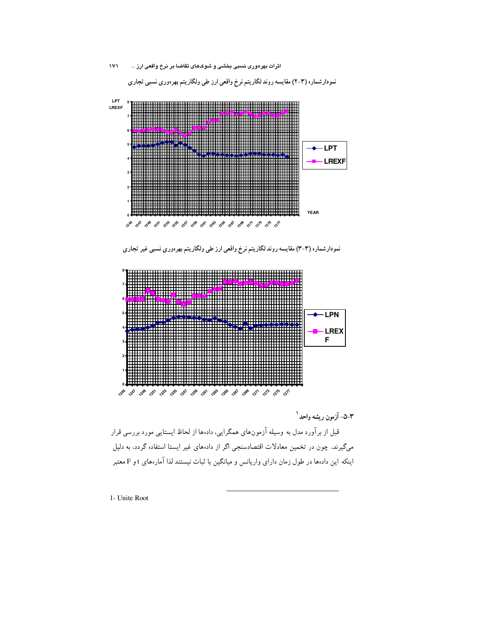

٣–۵– آزمون ريشه واحد<sup>١</sup>

قبل از برآورد مدل به وسیله آزمونهای همگرایی، دادهها از لحاظ ایستایی مورد بررسی قرار میگیرند. چون در تخمین معادلات اقتصادسنجی اگر از دادههای غیر ایستا استفاده گردد، به دلیل اینکه این دادهها در طول زمان دارای واریانس و میانگین با ثبات نیستند لذا آمارههای t و F معتبر

1- Unite Root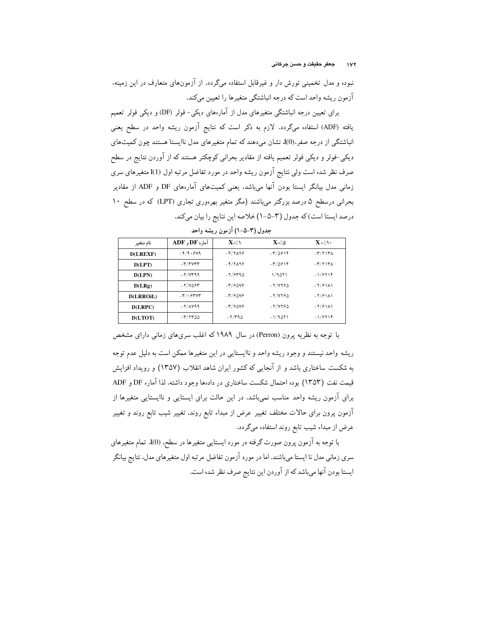نبوده و مدل تخمینی تورش دار و غیرقابل استفاده میگردد. از آزمونهای متعارف در این زمینه، آزمون ریشه واحد است که درجه انباشتگی متغیرها را تعیین میکند.

برای تعیین درجه انباشتگی متغیرهای مدل از آمارههای دیکی- فولر (DF) و دیکی فولر تعمیم یافته (ADF) استفاده میگردد. لازم به ذکر است که نتایج آزمون ریشه واحد در سطح یعنی انباشتگی از درجه صفر.(0)]. نشان میدهند که تمام متغیرهای مدل ناایستا هستند چون کمیتهای دیکی-فولر و دیکی فولر تعمیم یافته از مقادیر بحرانی کوچکتر هستند که از آوردن نتایج در سطح صرف نظر شده است ولی نتایج آزمون ریشه واحد در مورد تفاضل مرتبه اول (I(I متغیرهای سری زمانی مدل بیانگر ایستا بودن آنها میباشد. یعنی کمیتهای آمارههای DF و ADF از مقادیر بحرانی درسطح ۵ درصد بزرگتر میباشند (مگر متغیر بهرهوری تجاری (LPT) که در سطح ۱۰ درصد ايستا است) كه جدول (٣-٥-١) خلاصه اين نتايج را بيان ميكند.

| نام متغير        | $ADF$ , $DF_1$ , $DF_2$         | $X = / \Lambda$                                         | $X = / \Delta$                  | $X = \wedge \cdot$       |
|------------------|---------------------------------|---------------------------------------------------------|---------------------------------|--------------------------|
| <b>D(LREXF)</b>  | $-5/9.94$                       | $-5/7$ $\Lambda$                                        | $-\mathbf{r}/\Delta \mathbf{F}$ | $-\mathbf{r}/\mathbf{r}$ |
| D(LPT)           | $-\mathbf{r}/\mathbf{r}$        | $-F/YAYF$                                               | $-\mathbf{r}/\Delta \mathbf{F}$ | $-\mathbf{r}/\mathbf{r}$ |
| D(LPN)           | $-7/YY99$                       | $-7/9790$                                               | 1/9011                          | $-1/5118$                |
| D(LRg)           | $-7/4097$                       | $-\mathbf{r}/\mathcal{F} \Delta \mathbf{V} \mathcal{F}$ | $-Y/VP6$                        | $-\frac{1}{2}$           |
| <b>D(LRROIL)</b> | $-\mathbf{r}/\cdot$ ۶۳۷۳        | $-\mathcal{r}/\mathcal{F} \Delta V \mathcal{F}$         | $-7/7750$                       | $-7/91$ A)               |
| D(LRPC)          | $-7/\lambda$ $Y99$              | $-\frac{1}{2}\frac{1}{2}$                               | $-Y/YY50$                       | $-7/9111$                |
| <b>D(LTOT)</b>   | $-\mathsf{r}/\mathsf{rr}\omega$ | $-7/790$                                                | $-1/9011$                       | $-1/5118$                |

جدول (٣-٥-١) آزمون ريشه واحد

با توجه به نظریه پرون (Perron) در سال ۱۹۸۹ که اغلب سریهای زمانی دارای مشخص ریشه واحد نیستند و وجود ریشه واحد و ناایستایی در این متغیرها ممکن است به دلیل عدم توجه به شکست ساختاری باشد و از آنجایی که کشور ایران شاهد انقلاب (۱۳۵۷) و رویداد افزایش قیمت نفت (۱۳۵۳) بوده احتمال شکست ساختاری در دادهها وجود داشته، لذا آماره DF و ADF برای آزمون ریشه واحد مناسب نمیباشد. در این حالت برای ایستایی و ناایستایی متغیرها از آزمون پرون برای حالات مختلف تغییر عرض از مبداء تابع روند. تغییر شیب تابع روند و تغییر عرض از مبداء شیب تابع روند استفاده میگردد.

با توجه به آزمون پرون صورت گرفته در مورد ایستایی متغیرها در سطح، (J(0 تمام متغیرهای سری زمانی مدل نا ایستا میباشند. اما در مورد آزمون تفاضل مرتبه اول متغیرهای مدل، نتایج بیانگر ایستا بودن آنها می باشد که از آوردن این نتایج صرف نظر شده است.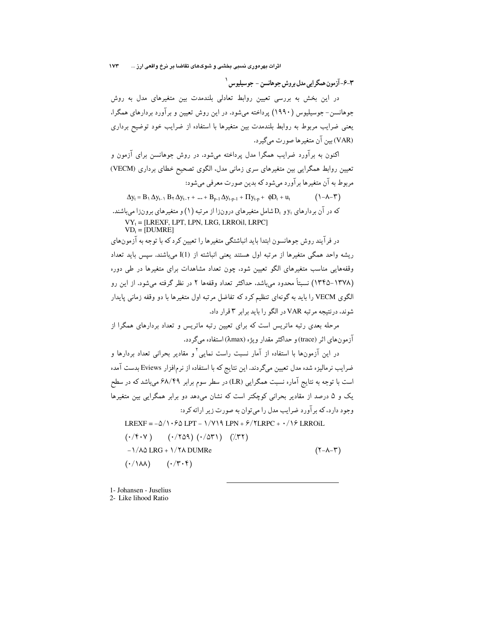٣-٤-آزمون همگر ايي مدل بروش جوهانسن - جوسيليوس `

در این بخش به بررسی تعیین روابط تعادلی بلندمدت بین متغیرهای مدل به روش جوهانسن- جوسیلیوس (۱۹۹۰) پرداخته میشود. در این روش تعیین و برآورد بردارهای همگرا، یعنی ضرایب مربوط به روابط بلندمدت بین متغیرها با استفاده از ضرایب خود توضیح برداری (VAR) بين آن متغير ها صورت مي گير د.

اکنون به برآورد ضرایب همگرا مدل پرداخته میشود. در روش جوهانسن برای آزمون و تعیین روابط همگرایی بین متغیرهای سری زمانی مدل، الگوی تصحیح خطای برداری (VECM) مربوط به آن متغیرها برآورد میشود که بدین صورت معرفی میشود:

 $\Delta y_t = B_1 \Delta y_{t-1} B_1 \Delta y_{t-\tau} + ... + B_{p-1} \Delta y_{t-p-1} + \Pi y_{t-p} + \phi D_t + u_t$  $(\lambda - \lambda - \tau)$ 

که در آن بر دارهای y<sub>t و Dt</sub> شامل متغیرهای درونزا از مرتبه (۱) و متغیرهای برونزا می باشند. VY<sub>t</sub> = [LREXF, LPT, LPN, LRG, LRROil, LRPC]

 $VD_t = [DUMRE]$ 

در فرآیند روش جوهانسون ابتدا باید انباشتگی متغیرها را تعیین کرد که با توجه به آزمونهای ریشه واحد همگی متغیرها از مرتبه اول هستند یعنی انباشته از I(1) میباشند. سپس باید تعداد وقفههایی مناسب متغیرهای الگو تعیین شود، چون تعداد مشاهدات برای متغیرها در طی دوره (١٣٧٨–١٣۴۵) نسبتاً محدود مي باشد، حداكثر تعداد وقفهها ٢ در نظر گرفته مي شود. از اين رو الگوی VECM را باید به گونهای تنظیم کرد که تفاضل مرتبه اول متغیرها با دو وقفه زمانبی پایدار شوند، درنتیجه مرتبه VAR در الگو را باید برابر ۳ قرار داد.

مرحله بعدی رتبه ماتریس است که برای تعیین رتبه ماتریس و تعداد بردارهای همگرا از آزمونهای اثر (trace) و حداکثر مقدار ویژه (λmax) استفاده میگردد.

در این آزمونها با استفاده از آمار نسبت راست نمایی<sup>۲</sup>و مقادیر بحرانی تعداد بردارها و ضرایب نرمالیزه شده مدل تعیین میگردند. این نتایج که با استفاده از نرمافزار Eviews بدست آمده است با توجه به نتایج آماره نسبت همگرایی (LR) در سطر سوم برابر ۶۸/۴۹ میباشد که در سطح یک و ۵ درصد از مقادیر بحرانی کوچکتر است که نشان میدهد دو برابر همگرایی بین متغیرها وجود دارد، که بر آورد ضرایب مدل را می توان به صورت زیر ارائه کرد:

LREXF =  $-\Delta/\sqrt{6}$  LPT -  $\sqrt{\gamma}$  LPN +  $\frac{6}{\gamma}$  LRPC +  $\cdot/\sqrt{2}$  LRROiL

$$
(\cdot/\uparrow \cdot \vee)
$$
  $(\cdot/\uparrow \triangle \wedge)$   $(\cdot/\triangle \wedge \wedge)$   $((\cdot \wedge \vee \wedge)$   
\n $-(\cdot/\land \triangle \triangle \triangle \wedge \wedge)$   $(\cdot/\uparrow \cdot \wedge)$   $((\cdot \wedge \vee \wedge))$   $((\cdot \wedge \vee \wedge))$   $((\cdot \wedge \vee))$   $(\cdot \wedge \vee \vee)$ 

1- Johansen - Juselius

2- Like lihood Ratio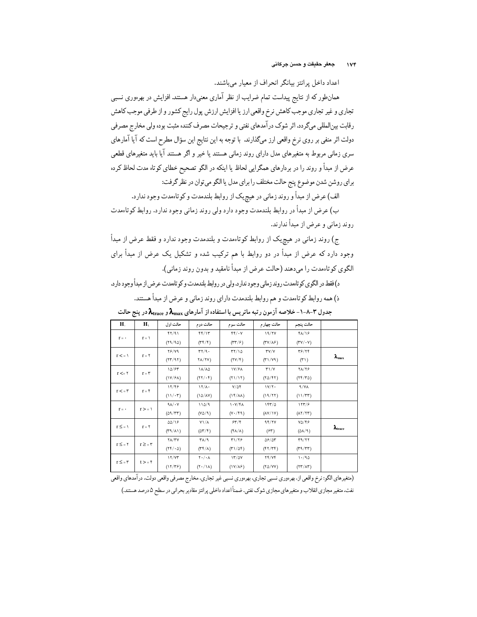اعداد داخل پرانتز بیانگر انحراف از معیار میباشند.

همانطور که از نتایج پیداست تمام ضرایب از نظر آماری معنیدار هستند. افزایش در بهرءوری نسبی تجاري و غير تجاري موجب كاهش نرخ واقعي ارز يا افزايش ارزش پول رايج كشور و از طرفي موجب كاهش رقابت بین|لمللی میگردد. اثر شوک درآمدهای نفتی و ترجیحات مصرف کننده مثبت بوده ولی مخارج مصرفی دولت اثر منفی بر روی نرخ واقعی ارز میگذارند. با توجه به این نتایج این سؤال مطرح است که آیا آمارهای سری زمانی مربوط به متغیرهای مدل دارای روند زمانی هستند یا خیر و اگر هستند آیا باید متغیرهای قطعی عرض از مبدأ و روند را در بردارهای همگرایی لحاظ یا اینکه در الگو تصحیح خطای کوتاه مدت لحاظ کرده براي روشن شدن موضوع پنج حالت مختلف را براي مدل يا الگو مي توان در نظر گرفت:

الف) عرض از مبدأ و روند زماني در هيچيک از روابط بلندمدت و کوتاهمدت وجود ندارد.

ب) عرض از مبدأ در روابط بلندمدت وجود دارد ولی روند زمانی وجود ندارد. روابط کوتاءمدت روند زمانی و عرض از مبدأ ندارند.

ج) روند زمانی در هیچیک از روابط کوتاهمدت و بلندمدت وجود ندارد و فقط عرض از مبدأ وجود دارد که عرض از مبدأ در دو روابط با هم ترکیب شده و تشکیل یک عرض از مبدأ برای الگوی کوتاهمدت را میدهند (حالت عرض از مبدأ نامقید و بدون روند زمانی).

د) فقط در الگوی کو تاممدت روند زمانی وجود ندارد. ولی در روابط بلندمدت و کو تاممدت عرض از مبدأ وجود دار د. ذ) همه روابط کوتاهمدت و هم روابط بلندمدت دارای روند زمانی و عرض از مبدأ هستند.

| H <sub>1</sub>   | H <sub>1</sub> | حالت اول                     | حالت دوم                              | حالت سوم                                    | حالت چهار م                       | حالت پنجم                                     |                          |
|------------------|----------------|------------------------------|---------------------------------------|---------------------------------------------|-----------------------------------|-----------------------------------------------|--------------------------|
| $r = -$          | $r = \lambda$  | FT/91                        | FF/17                                 | $FF/\cdot Y$                                | 19/7V                             | <b>FA/18</b>                                  |                          |
|                  |                | (19/90)                      | $(\Upsilon \Upsilon / \Upsilon)$      | $(TY/\hat{r})$                              | $(TV/\lambda)$                    | $(TV/\cdot V)$                                |                          |
| $r < = \sqrt{ }$ | $r = \tau$     | <b>78/79</b>                 | $\mathsf{r}\mathsf{r}/\mathsf{q}$ .   | $\mathsf{r}\mathsf{r}/\mathsf{1}\mathsf{0}$ | $\mathsf{r}\mathsf{v}/\mathsf{v}$ | 34/۲۴                                         |                          |
|                  |                | (17/97)                      | $Y\Lambda/YY$                         | $(YY/\mathfrak{r})$                         | (Y1/Y9)                           | $(\uparrow \uparrow)$                         | $\lambda_{\text{max}}$   |
| $r \leq r$       |                | 10/97                        | 18/40                                 | <b>1Y/۶۸</b>                                | $Y\setminus Y$                    | ۲۸/۲۶                                         |                          |
|                  | $r=\tau$       | (1Y/FA)                      | $(YY/\cdot Y)$                        | (11/11)                                     | (70/97)                           | (Yf/T0)                                       |                          |
| r < r            | $r = r$        | 12/46                        | $17/\lambda$                          | $Y/\Delta f$                                | 1Y/Y                              | 9/YA                                          |                          |
|                  |                | $(11/\cdot 7)$               | (10/N)                                | $(1f/\lambda\lambda)$                       | (19/77)                           | (11/TT)                                       |                          |
| $r = -$          | $r > = 1$      | $9\lambda/\cdot Y$           | 110/9                                 | 1.7/7A                                      | 157/0                             | 157/9                                         |                          |
|                  |                | (09/TT)                      | $(N\Delta/\mathcal{A})$               | $(Y \cdot / \mathfrak{f} \mathfrak{q})$     | $(\lambda Y/\lambda Y)$           | $(\lambda \Upsilon / \Upsilon \Upsilon)$      |                          |
| $r \leq = 1$     | $r = \Upsilon$ | 00/19                        | $Y\setminus A$                        | 55/7                                        | 95/7V                             | $Y\Delta/\Upsilon$                            |                          |
|                  |                | $(\Upsilon \wedge / \wedge)$ | $(2\tau/\tau)$                        | $(\mathsf{fA}/\mathsf{A})$                  | (55)                              | $(\Delta\lambda/\vartheta)$                   | $\lambda_{\text{trace}}$ |
| $r \leq r$       | $r \geq r$     | <b>TA/TY</b>                 | ۳۸/۹                                  | 31/16                                       | 09/07                             | T9/T7                                         |                          |
|                  |                | $(Yf/\cdot 0)$               | $(\Upsilon \Upsilon / \Lambda)$       | $(T1/\Delta f)$                             | (57/T)                            | $(\mathbf{r}\mathbf{A}/\mathbf{r}\mathbf{r})$ |                          |
| $r \leq 5r$      | $t > -r$       | 17/YT                        | $\mathbf{Y} \cdot / \cdot \mathbf{A}$ | 17/0Y                                       | YY/YY                             | 1.40                                          |                          |
|                  |                | (11/19)                      | $(Y \cdot / \lambda)$                 | $(1Y/\lambda)$                              | (70/YY)                           | $(17)/\Lambda$                                |                          |

جدول ۳-۸-۱- خلاصه آزمون رتبه ماتریس با استفاده از آمارهای  $\lambda_{\rm max}$  و  $\lambda_{\rm trace}$ در پنج حالت

(متغیرهای الگو: نرخ واقعی از، بهرهوری نسبی تجاری، بهرهوری نسبی غیر تجاری، مخارج مصرفی واقعی دولت، درآمدهای واقعی

نفت، متغیر مجازی انقلاب و متغیرهای مجازی شوک نفتی. ضمناً اعداد داخلی پرانتز مقادیر بحرانی در سطح ۵درصد هستند.)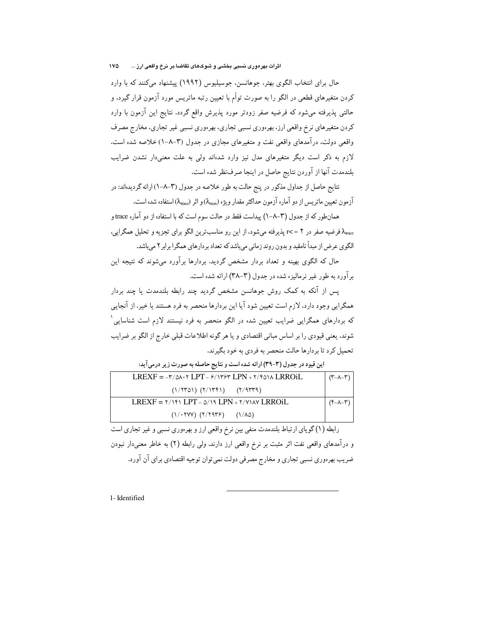حال برای انتخاب الگوی بهتر، جوهانسن، جوسیلیوس (۱۹۹۲) پیشنهاد میکنند که با وارد کردن متغیرهای قطعی در الگو را به صورت توأم با تعیین رتبه ماتریس مورد آزمون قرار گیرد. و حالتی پذیرفته میشود که فرضیه صفر زودتر مورد پذیرش واقع گردد. نتایج این آزمون با وارد کردن متغیرهای نرخ واقعی ارز، بهرهوری نسبی تجاری، بهرهوری نسبی غیر تجاری، مخارج مصرف واقعی دولت. در آمدهای واقعی نفت و متغیرهای مجازی در جدول (۳–۸–۱) خلاصه شده است. لازم به ذکر است دیگر متغیرهای مدل نیز وارد شدهاند ولی به علت معنیدار نشدن ضرایب بلندمدت آنها از آوردن نتايج حاصل در اينجا صرفنظر شده است.

نتايج حاصل از جداول مذكور در پنج حالت به طور خلاصه در جدول (٣-٨-١) ارائه گرديدهاند: در آزمون تعیین ماتریس از دو آماره آزمون حداکثر مقدار ویژه (۸ $\lambda_{\rm max}$ ) و اثر (۸ $\lambda_{\rm max}$ ) استفاده شده است.

همانطور که از جدول (۳–۸–۱) پیداست فقط در حالت سوم است که با استفاده از دو آماره trace و ه فرضیه صفر در ۲ = >r پذیرفته میشود، از این رو مناسبترین الگو برای تجزیه و تحلیل همگرایی، الگوی عرض از مبدأ نامقید و بدون روند زمانی میباشد که تعداد بردارهای همگرا برابر۲ میباشد.

حال که الگوی بهینه و تعداد بردار مشخص گردید. بردارها برآورد میشوند که نتیجه این بر آورد به طور غیر نرمالیزه شده در حدول (۳-۳۸) ارائه شده است.

پس از آنکه به کمک روش جوهانسن مشخص گردید چند رابطه بلندمدت یا چند بردار همگرایی وجود دارد، لازم است تعیین شود آیا این بردارها منحصر به فرد هستند یا خیر. از آنجایی که بردارهای همگرایی ضرایب تعیین شده در الگو منحصر به فرد نیستند لازم است شناسایی ٔ شوند، يعني قيودي را بر اساس مباني اقتصادي و يا هر گونه اطلاعات قبلي خارج از الگو بر ضرايب تحمیل کرد تا بردارها حالت منحصر به فردی به خود بگیرند.

| $LREXF = -r/\Delta \cdot r LPT - r/\gamma r$ $LPN + r/r \Delta \cdot \lambda LRROiL$ | $(\tau - \lambda - \tau)$ |
|--------------------------------------------------------------------------------------|---------------------------|
| $(1/5701)$ $(5/1751)$ $(7/3773)$                                                     |                           |
| $LREXF = \frac{1}{111} \cdot LPT - \frac{1}{11} \cdot LPN + \frac{1}{11} \cdot N/N$  | (۴-۸-۳)                   |
| $(1/5$ (Y) $(7/7979)$ ( $1/\lambda$ <sup>2</sup> )                                   |                           |

این قیود در جدول (۳-۳۹) ارائه شده است و نتایج حاصله به صورت زیر درمی آید:

رابطه (۱) گوپای ارتباط بلندمدت منفی بین نرخ واقعی ارز و بهر ووری نسبی و غیر تجاری است و درآمدهای واقعی نفت اثر مثبت بر نرخ واقعی ارز دارند. ولی رابطه (۲) به خاطر معنیدار نبودن ضریب بهرهوری نسبی تجاری و مخارج مصرفی دولت نمی توان توجیه اقتصادی برای آن آورد.

1- Identified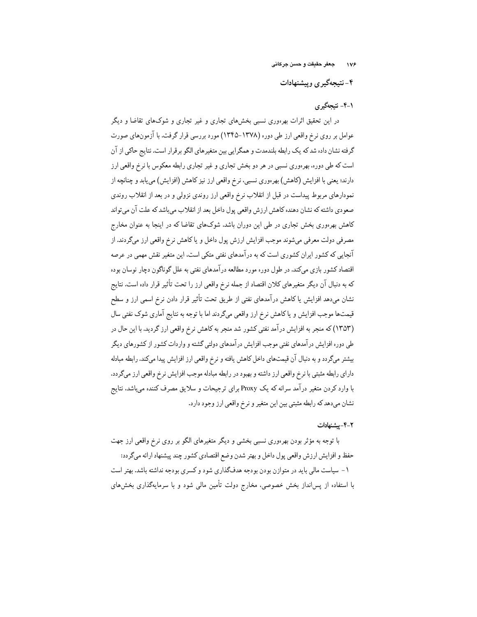۴- نتیجهگیری وییشنهادات

# ۱-۴- نتىحەگىرى

در این تحقیق اثرات بهرهوری نسبی بخشهای تجاری و غیر تجاری و شوکهای تقاضا و دیگر عوامل بر روی نرخ واقعی ارز طی دوره (۱۳۷۸–۱۳۴۵) مورد بررسی قرار گرفت. با آزمونهای صورت گرفته نشان داده شد که یک رابطه بلندمدت و همگرایی بین متغیرهای الگو برقرار است. نتایج حاکی از آن است که طی دوره، بهرهوری نسبی در هر دو بخش تجاری و غیر تجاری رابطه معکوس با نرخ واقعی ارز دارند؛ یعنی با افزایش (کاهش) بهرهوری نسببی، نرخ واقعی ارز نیز کاهش (افزایش) می یابد و چنانچه از نمودارهای مربوط پیداست در قبل از انقلاب نرخ واقعی ارز روندی نزولی و در بعد از انقلاب روندی صعودي داشته كه نشان دهنده كاهش ارزش واقعى يول داخل بعد از انقلاب مىباشد كه علت آن مىتواند کاهش بهرهوری بخش تجاری در طی این دوران باشد. شوکهای تقاضا که در اینجا به عنوان مخارج مصرفی دولت معرفی میشوند موجب افزایش ارزش پول داخل و یا کاهش نرخ واقعی ارز میگردند. از آنجایی که کشور ایران کشوری است که به درآمدهای نفتی متکی است، این متغیر نقش مهمی در عرصه اقتصاد کشور بازی میکند. در طول دوره مورد مطالعه درآمدهای نفتی به علل گوناگون دچار نوسان بوده که به دنبال آن دیگر متغیرهای کلان اقتصاد از جمله نرخ واقعی ارز را تحت تأثیر قرار داده است. نتایج نشان میدهد افزایش یا کاهش درآمدهای نفتی از طریق تحت تأثیر قرار دادن نرخ اسمی ارز و سطح قیمتها موجب افزایش و یاکاهش نرخ ارز واقعی میگردند اما با توجه به نتایج آماری شوک نفتی سال (١٣٥٣) كه منجر به افزايش درآمد نفتي كشور شد منجر به كاهش نرخ واقعي ارز گرديد. با اين حال در طی دوره افزایش درآمدهای نفتی موجب افزایش درآمدهای دولتی گشته و واردات کشور از کشورهای دیگر بیشتر میگردد و به دنبال آن قیمتهای داخل کاهش یافته و نرخ واقعی ارز افزایش پیدا میکند. رابطه مبادله دارای رابطه مثبتی با نرِخ واقعی ارز داشته و بهبود در رابطه مبادله موجب افزایش نرخ واقعی ارز میگردد. با وارد کردن متغیر درآمد سرانه که یک Proxy برای ترجیحات و سلایق مصرف کننده میباشد، نتایج نشان ميدهد كه رابطه مثبتي بين اين متغير و نرخ واقعي ارز وجود دارد.

#### ٢-۴-يشنهادات

با توجه به مؤثر بودن بهرەورى نسببي بخشبي و ديگر متغيرهاي الگو بر روي نرخ واقعي ارز جهت حفظ و افزايش ارزش واقعي پول داخل و بهتر شدن وضع اقتصادي كشور چند پيشنهاد ارائه ميگردد: ۱- سیاست مالی باید در متوازن بودن بودجه هدفگذاری شود و کسری بودجه نداشته باشد. بهتر است با استفاده از پسانداز بخش خصوصی، مخارج دولت تأمین مالی شود و با سرمایهگذاری بخشهای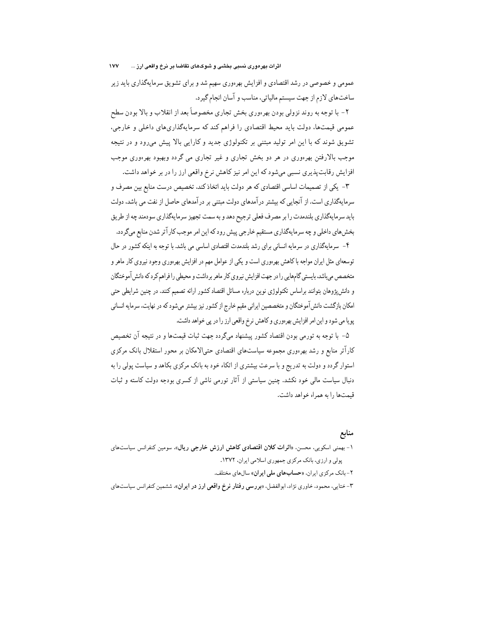عمومی و خصوصی در رشد اقتصادی و افزایش بهرهوری سهیم شد و برای تشویق سرمایهگذاری باید زیر ساختهاي لازم از جهت سيستم مالياتي، مناسب و آسان انجام گيرد.

۲- با توجه به روند نزولي بودن بهرهوري بخش تجاري مخصوصاً بعد از انقلاب و بالا بودن سطح عمومی قیمتها، دولت باید محیط اقتصادی را فراهم کند که سرمایهگذاریهای داخلی و خارجی، تشویق شوند که با این امر تولید مبتنی بر تکنولوژی جدید و کارایی بالا پیش می رود و در نتیجه موجب بالارفتن بهرءوری در هر دو بخش تجاری و غیر تجاری می گردد وبهبود بهرءوری موجب افزایش رقابتپذیری نسبی میشود که این امر نیز کاهش نرخ واقعی ارز را در بر خواهد داشت.

۳- یکی از تصمیمات اساسی اقتصادی که هر دولت باید اتخاذ کند. تخصیص درست منابع بین مصرف و سرمایهگذاری است. از آنجایی که بیشتر درآمدهای دولت مبتنی بر درآمدهای حاصل از نفت می باشد، دولت باید سرمایهگذاری بلندمدت را بر مصرف فعلی ترجیح دهد و به سمت تجهیز سرمایهگذاری سودمند چه از طریق بخش های داخلی و چه سرمایهگذاری مستقیم خارجی پیش رود که این امر موجب کار آتر شدن منابع میگردد.

۴- سرمایهگذاری در سرمایه انسانی برای رشد بلندمدت اقتصادی اساسی می باشد. با توجه به اینکه کشور در حال توسعهای مثل ایران مواجه باکاهش بهرهوری است و یکی از عوامل مهم در افزایش بهرهوری وجود نیروی کار ماهر و متخصص می باشد، بایستی گامهایی را در جهت افزایش نیروی کار ماهر برداشت و محیطی را فراهم کرد که دانش آموختگان و دانشپژوهان بتوانند براساس تکنولوژی نوین درباره مسائل اقتصاد کشور ارائه تصمیم کنند. در چنین شرایطی حتی امکان بازگشت دانشآموختگان و متخصصین ایرانی مقیم خارج از کشور نیز بیشتر میشود که در نهایت، سرمایه انسانی پویا می شود و این امر افزایش بهرهوری و کاهش نرخ واقعی ارز را در پی خواهد داشت.

۵- با توجه به تورمی بودن اقتصاد کشور پیشنهاد میگردد جهت ثبات قیمتها و در نتیجه آن تخصیص کارآتر منابع و رشد بهرءوری مجموعه سیاستهای اقتصادی حتیالامکان بر محور استقلال بانک مرکزی استوار گردد و دولت به تدریج و با سرعت بیشتری از اتکاء خود به بانک مرکزی بکاهد و سیاست یولی را به دنبال سیاست مالی خود نکشد. چنین سیاستی از آثار تورمی ناشی از کسری بودجه دولت کاسته و ثبات قيمتها را به همراه خواهد داشت.

## منابع

۱- بهمنی اسکویی، محسن، «اثرات کلان اقتصادی کاهش ارزش خارجی ریال»، سومین کنفرانس سیاستهای یولی و ارزی، بانک مرکزی جمهوری اسلامی ایران، ۱۳۷۲.

۲-بانک مرکزی ایران، «حسابهای ملی ایران» سالهای مختلف.

۳- ختایی، محمود، خاوری نژاد، ابوالفضل، «بررسی **رفتار نرخ واقعی ارز در ایران**»، ششمین کنفرانس سیاستهای